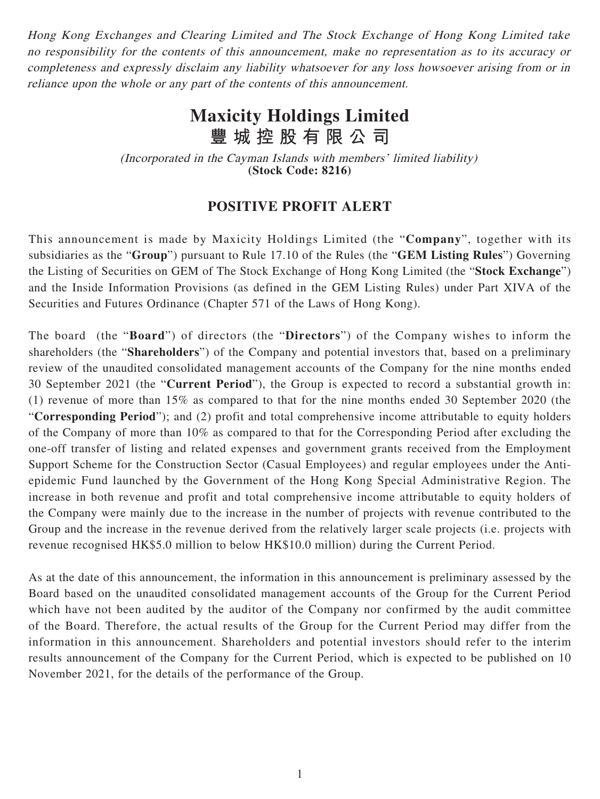Hong Kong Exchanges and Clearing Limited and The Stock Exchange of Hong Kong Limited take no responsibility for the contents of this announcement, make no representation as to its accuracy or completeness and expressly disclaim any liability whatsoever for any loss howsoever arising from or in reliance upon the whole or any part of the contents of this announcement.

## **Maxicity Holdings Limited 豐城控股有限公司**

(Incorporated in the Cayman Islands with members' limited liability) **(Stock Code: 8216)**

## **POSITIVE PROFIT ALERT**

This announcement is made by Maxicity Holdings Limited (the "**Company**", together with its subsidiaries as the "**Group**") pursuant to Rule 17.10 of the Rules (the "**GEM Listing Rules**") Governing the Listing of Securities on GEM of The Stock Exchange of Hong Kong Limited (the "**Stock Exchange**") and the Inside Information Provisions (as defined in the GEM Listing Rules) under Part XIVA of the Securities and Futures Ordinance (Chapter 571 of the Laws of Hong Kong).

The board (the "**Board**") of directors (the "**Directors**") of the Company wishes to inform the shareholders (the "**Shareholders**") of the Company and potential investors that, based on a preliminary review of the unaudited consolidated management accounts of the Company for the nine months ended 30 September 2021 (the "**Current Period**"), the Group is expected to record a substantial growth in: (1) revenue of more than 15% as compared to that for the nine months ended 30 September 2020 (the "**Corresponding Period**"); and (2) profit and total comprehensive income attributable to equity holders of the Company of more than 10% as compared to that for the Corresponding Period after excluding the one-off transfer of listing and related expenses and government grants received from the Employment Support Scheme for the Construction Sector (Casual Employees) and regular employees under the Antiepidemic Fund launched by the Government of the Hong Kong Special Administrative Region. The increase in both revenue and profit and total comprehensive income attributable to equity holders of the Company were mainly due to the increase in the number of projects with revenue contributed to the Group and the increase in the revenue derived from the relatively larger scale projects (i.e. projects with revenue recognised HK\$5.0 million to below HK\$10.0 million) during the Current Period.

As at the date of this announcement, the information in this announcement is preliminary assessed by the Board based on the unaudited consolidated management accounts of the Group for the Current Period which have not been audited by the auditor of the Company nor confirmed by the audit committee of the Board. Therefore, the actual results of the Group for the Current Period may differ from the information in this announcement. Shareholders and potential investors should refer to the interim results announcement of the Company for the Current Period, which is expected to be published on 10 November 2021, for the details of the performance of the Group.